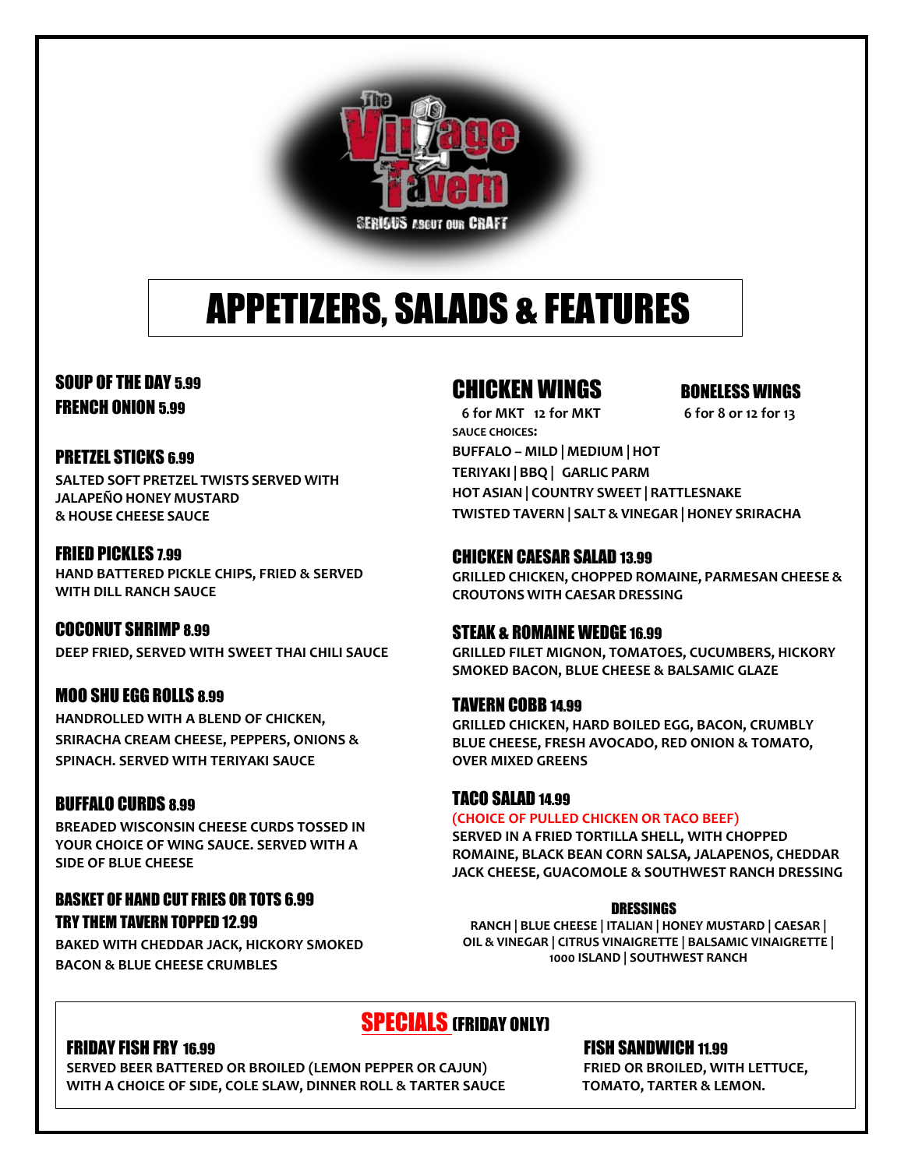

# APPETIZERS, SALADS & FEATURES

### SOUP OF THE DAY 5.99 FRENCH ONION 5.99

#### PRETZEL STICKS 6.99

**SALTED SOFT PRETZEL TWISTS SERVED WITH JALAPEÑO HONEY MUSTARD & HOUSE CHEESE SAUCE**

#### FRIED PICKLES 7.99

**HAND BATTERED PICKLE CHIPS, FRIED & SERVED WITH DILL RANCH SAUCE**

#### COCONUT SHRIMP 8.99

**DEEP FRIED, SERVED WITH SWEET THAI CHILI SAUCE** 

#### MOO SHU EGG ROLLS 8.99

**HANDROLLED WITH A BLEND OF CHICKEN, SRIRACHA CREAM CHEESE, PEPPERS, ONIONS & SPINACH. SERVED WITH TERIYAKI SAUCE**

#### BUFFALO CURDS 8.99

**BREADED WISCONSIN CHEESE CURDS TOSSED IN YOUR CHOICE OF WING SAUCE. SERVED WITH A SIDE OF BLUE CHEESE**

#### BASKET OF HAND CUT FRIES OR TOTS 6.99 TRY THEM TAVERN TOPPED 12.99

**BAKED WITH CHEDDAR JACK, HICKORY SMOKED BACON & BLUE CHEESE CRUMBLES**

### CHICKEN WINGS BONELESS WINGS

 **6 for MKT 12 for MKT 6 for 8 or 12 for 13 SAUCE CHOICES: BUFFALO – MILD | MEDIUM |HOT TERIYAKI | BBQ | GARLIC PARM HOT ASIAN | COUNTRY SWEET | RATTLESNAKE TWISTED TAVERN | SALT & VINEGAR | HONEY SRIRACHA**

#### CHICKEN CAESAR SALAD 13.99

**GRILLED CHICKEN, CHOPPED ROMAINE, PARMESAN CHEESE & CROUTONS WITH CAESAR DRESSING**

#### STEAK & ROMAINE WEDGE 16.99

**GRILLED FILET MIGNON, TOMATOES, CUCUMBERS, HICKORY SMOKED BACON, BLUE CHEESE & BALSAMIC GLAZE** 

#### TAVERN COBB 14.99

**GRILLED CHICKEN, HARD BOILED EGG, BACON, CRUMBLY BLUE CHEESE, FRESH AVOCADO, RED ONION & TOMATO, OVER MIXED GREENS**

#### TACO SALAD 14.99

#### **(CHOICE OF PULLED CHICKEN OR TACO BEEF)**

**SERVED IN A FRIED TORTILLA SHELL, WITH CHOPPED ROMAINE, BLACK BEAN CORN SALSA, JALAPENOS, CHEDDAR JACK CHEESE, GUACOMOLE & SOUTHWEST RANCH DRESSING**

#### DRESSINGS

**RANCH | BLUE CHEESE | ITALIAN | HONEY MUSTARD | CAESAR | OIL & VINEGAR | CITRUS VINAIGRETTE | BALSAMIC VINAIGRETTE | 1000 ISLAND | SOUTHWEST RANCH**

## SPECIALS (FRIDAY ONLY)

#### FRIDAY FISH FRY 16.99 FISH SANDWICH 11.99

**SERVED BEER BATTERED OR BROILED (LEMON PEPPER OR CAJUN) FRIED OR BROILED, WITH LETTUCE, WITH A CHOICE OF SIDE, COLE SLAW, DINNER ROLL & TARTER SAUCE TOMATO, TARTER & LEMON.**